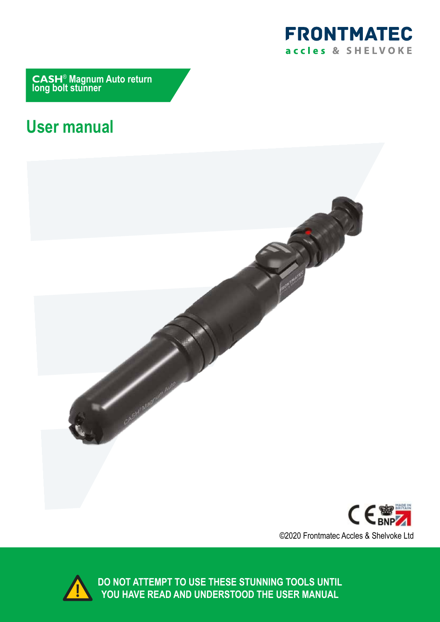

**CASH**® **Magnum Auto return long bolt stunner**

# **User manual**







**DO NOT ATTEMPT TO USE THESE STUNNING TOOLS UNTIL YOU HAVE READ AND UNDERSTOOD THE USER MANUAL**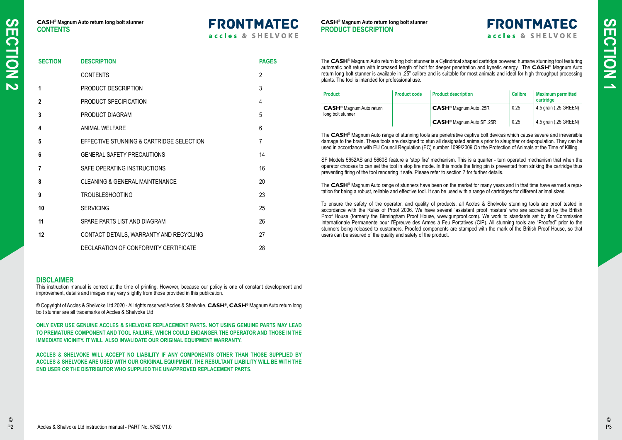# **FRONTMATEC**

accles & SHELVOKE

| <b>SECTION</b> | <b>DESCRIPTION</b>                        | <b>PAGES</b>   |
|----------------|-------------------------------------------|----------------|
|                | <b>CONTENTS</b>                           | $\overline{2}$ |
| 1              | PRODUCT DESCRIPTION                       | 3              |
| $\overline{2}$ | PRODUCT SPECIFICATION                     | $\overline{4}$ |
| $\mathbf{3}$   | PRODUCT DIAGRAM                           | 5              |
| 4              | <b>ANIMAL WELFARE</b>                     | $6\phantom{1}$ |
| 5              | EFFECTIVE STUNNING & CARTRIDGE SELECTION  | $\overline{7}$ |
| $6\phantom{1}$ | <b>GENERAL SAFETY PRECAUTIONS</b>         | 14             |
| $\overline{7}$ | SAFE OPERATING INSTRUCTIONS               | 16             |
| 8              | <b>CLEANING &amp; GENERAL MAINTENANCE</b> | 20             |
| 9              | <b>TROUBLESHOOTING</b>                    | 23             |
| 10             | <b>SERVICING</b>                          | 25             |
| 11             | SPARE PARTS LIST AND DIAGRAM              | 26             |
| 12             | CONTACT DETAILS, WARRANTY AND RECYCLING   | 27             |
|                | DECLARATION OF CONFORMITY CERTIFICATE     | 28             |

© Copyright of Accles & Shelvoke Ltd 2020 - All rights reserved Accles & Shelvoke, **CASH**®, **CASH**® Magnum Auto return long bolt stunner are all trademarks of Accles & Shelvoke Ltd

#### **DISCLAIMER**

This instruction manual is correct at the time of printing. However, because our policy is one of constant development and improvement, details and images may vary slightly from those provided in this publication.

**ONLY EVER USE GENUINE ACCLES & SHELVOKE REPLACEMENT PARTS. NOT USING GENUINE PARTS MAY LEAD TO PREMATURE COMPONENT AND TOOL FAILURE, WHICH COULD ENDANGER THE OPERATOR AND THOSE IN THE IMMEDIATE VICINITY. IT WILL ALSO INVALIDATE OUR ORIGINAL EQUIPMENT WARRANTY.**

**ACCLES & SHELVOKE WILL ACCEPT NO LIABILITY IF ANY COMPONENTS OTHER THAN THOSE SUPPLIED BY ACCLES & SHELVOKE ARE USED WITH OUR ORIGINAL EQUIPMENT. THE RESULTANT LIABILITY WILL BE WITH THE END USER OR THE DISTRIBUTOR WHO SUPPLIED THE UNAPPROVED REPLACEMENT PARTS.**

The **CASH**® Magnum Auto return long bolt stunner is a Cylindrical shaped cartridge powered humane stunning tool featuring automatic bolt return with increased length of bolt for deeper penetration and kynetic energy. The **CASH**® Magnum Auto return long bolt stunner is available in .25" calibre and is suitable for most animals and ideal for high throughput processing plants. The tool is intended for professional use.

| <b>Product</b>                                                  | <b>Product code</b> | <b>Product description</b>                  | <b>Calibre</b> | <b>Maximum permitted</b><br>cartridge |
|-----------------------------------------------------------------|---------------------|---------------------------------------------|----------------|---------------------------------------|
| <b>CASH<sup>®</sup> Magnum Auto return</b><br>long bolt stunner |                     | CASH <sup>®</sup> Magnum Auto .25R          | 0.25           | 4.5 grain (.25 GREEN)                 |
|                                                                 |                     | <b>CASH<sup>®</sup> Magnum Auto SF .25R</b> | 0.25           | 4.5 grain (.25 GREEN)                 |

The **CASH**® Magnum Auto range of stunning tools are penetrative captive bolt devices which cause severe and irreversible damage to the brain. These tools are designed to stun all designated animals prior to slaughter or depopulation. They can be used in accordance with EU Council Regulation (EC) number 1099/2009 On the Protection of Animals at the Time of Killing.

SF Models 5652AS and 5660S feature a 'stop fire' mechanism. This is a quarter - turn operated mechanism that when the operator chooses to can set the tool in stop fire mode. In this mode the firing pin is prevented from striking the cartridge thus preventing firing of the tool rendering it safe. Please refer to section 7 for further details.

The **CASH**® Magnum Auto range of stunners have been on the market for many years and in that time have earned a reputation for being a robust, reliable and effective tool. It can be used with a range of cartridges for different animal sizes.

To ensure the safety of the operator, and quality of products, all Accles & Shelvoke stunning tools are proof tested in accordance with the Rules of Proof 2006. We have several 'assistant proof masters' who are accredited by the British Proof House (formerly the Birmingham Proof House, www.gunproof.com). We work to standards set by the Commission Internationale Permanente pour l'Epreuve des Armes á Feu Portatives (CIP). All stunning tools are "Proofed" prior to the stunners being released to customers. Proofed components are stamped with the mark of the British Proof House, so that users can be assured of the quality and safety of the product.

#### **CASH**® **Magnum Auto return long bolt stunner PRODUCT DESCRIPTION**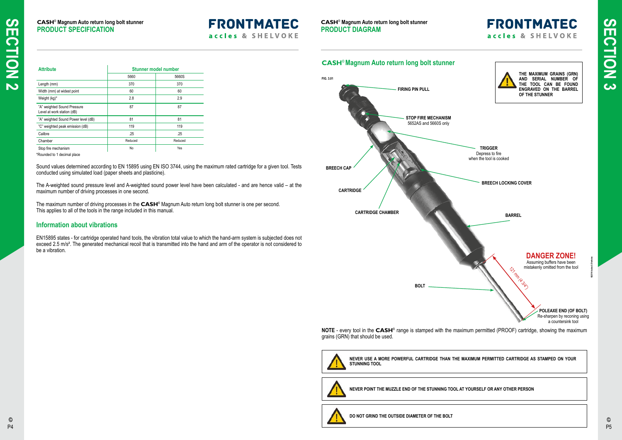| <b>Attribute</b>                                          | <b>Stunner model number</b> |         |  |
|-----------------------------------------------------------|-----------------------------|---------|--|
|                                                           | 5660                        | 5660S   |  |
| Length (mm)                                               | 370                         | 370     |  |
| Width (mm) at widest point                                | 60                          | 60      |  |
| Weight (kg)*                                              | 2.8                         | 2.9     |  |
| "A" weighted Sound Pressure<br>Level at work station (dB) | 87                          | 87      |  |
| "A" weighted Sound Power level (dB)                       | 81                          | 81      |  |
| "C" weighted peak emission (dB)                           | 119                         | 119     |  |
| Calibre                                                   | .25                         | .25     |  |
| Chamber                                                   | Reduced                     | Reduced |  |
| Stop fire mechanism                                       | No                          | Yes     |  |

The A-weighted sound pressure level and A-weighted sound power level have been calculated - and are hence valid – at the maximum number of driving processes in one second.

Sound values determined according to EN 15895 using EN ISO 3744, using the maximum rated cartridge for a given tool. Tests conducted using simulated load (paper sheets and plasticine).

The maximum number of driving processes in the **CASH**® Magnum Auto return long bolt stunner is one per second. This applies to all of the tools in the range included in this manual.



#### **Information about vibrations**

EN15895 states - for cartridge operated hand tools, the vibration total value to which the hand-arm system is subjected does not exceed 2.5 m/s<sup>2</sup>. The generated mechanical recoil that is transmitted into the hand and arm of the operator is not considered to be a vibration.

#### **CASH**® **Magnum Auto return long bolt stunner PRODUCT SPECIFICATION**



## **CASH**® **Magnum Auto return long bolt stunner**

Re-sharpen by reconing using a countersink tool

**NOTE** - every tool in the **CASH**® range is stamped with the maximum permitted (PROOF) cartridge, showing the maximum grains (GRN) that should be used.



**NEVER USE A MORE POWERFUL CARTRIDGE THAN THE MAXIMUM PERMITTED CARTRIDGE AS STAMPED ON YOUR STUNNING TOOL**



**NEVER POINT THE MUZZLE END OF THE STUNNING TOOL AT YOURSELF OR ANY OTHER PERSON**



**DO NOT GRIND THE OUTSIDE DIAMETER OF THE BOLT**

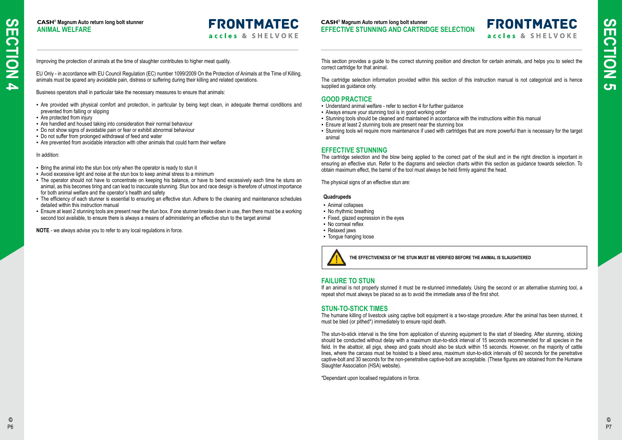Improving the protection of animals at the time of slaughter contributes to higher meat quality.

EU Only - in accordance with EU Council Regulation (EC) number 1099/2009 On the Protection of Animals at the Time of Killing, animals must be spared any avoidable pain, distress or suffering during their killing and related operations.

Business operators shall in particular take the necessary measures to ensure that animals:

- Are provided with physical comfort and protection, in particular by being kept clean, in adequate thermal conditions and prevented from falling or slipping
- Are protected from injury
- Are handled and housed taking into consideration their normal behaviour
- Do not show signs of avoidable pain or fear or exhibit abnormal behaviour
- Do not suffer from prolonged withdrawal of feed and water
- Are prevented from avoidable interaction with other animals that could harm their welfare

In addition:

- Understand animal welfare refer to section 4 for further guidance
- **EXECT** Always ensure your stunning tool is in good working order
- Stunning tools should be cleaned and maintained in accordance with the instructions within this manual
- **Ensure at least 2 stunning tools are present near the stunning box**
- Stunning tools wil require more maintenance if used with cartridges that are more powerful than is necessary for the target animal

- Bring the animal into the stun box only when the operator is ready to stun it
- Avoid excessive light and noise at the stun box to keep animal stress to a minimum
- The operator should not have to concentrate on keeping his balance, or have to bend excessively each time he stuns an animal, as this becomes tiring and can lead to inaccurate stunning. Stun box and race design is therefore of utmost importance for both animal welfare and the operator's health and safety
- The efficiency of each stunner is essential to ensuring an effective stun. Adhere to the cleaning and maintenance schedules detailed within this instruction manual
- Ensure at least 2 stunning tools are present near the stun box. If one stunner breaks down in use, then there must be a working second tool available, to ensure there is always a means of administering an effective stun to the target animal
- Animal collapses
- No rhythmic breathing
- Fixed, glazed expression in the eyes
- No corneal reflex
- Relaxed jaws
- Tongue hanging loose



**NOTE** - we always advise you to refer to any local regulations in force.

The humane killing of livestock using captive bolt equipment is a two-stage procedure. After the animal has been stunned, it must be bled (or pithed\*) immediately to ensure rapid death.

**CASH**® **Magnum Auto return long bolt stunner ANIMAL WELFARE**

## **FRONTMATEC** accles & SHELVOKE

This section provides a guide to the correct stunning position and direction for certain animals, and helps you to select the correct cartridge for that animal.

The cartridge selection information provided within this section of this instruction manual is not categorical and is hence supplied as guidance only.

#### **GOOD PRACTICE**

#### **EFFECTIVE STUNNING**

The cartridge selection and the blow being applied to the correct part of the skull and in the right direction is important in ensuring an effective stun. Refer to the diagrams and selection charts within this section as guidance towards selection. To obtain maximum effect, the barrel of the tool must always be held firmly against the head.

The physical signs of an effective stun are:

#### **Quadrupeds**

#### **FAILURE TO STUN**

If an animal is not properly stunned it must be re-stunned immediately. Using the second or an alternative stunning tool, a repeat shot must always be placed so as to avoid the immediate area of the first shot.

#### **STUN-TO-STICK TIMES**

The stun-to-stick interval is the time from application of stunning equipment to the start of bleeding. After stunning, sticking should be conducted without delay with a maximum stun-to-stick interval of 15 seconds recommended for all species in the field. In the abattoir, all pigs, sheep and goats should also be stuck within 15 seconds. However, on the majority of cattle lines, where the carcass must be hoisted to a bleed area, maximum stun-to-stick intervals of 60 seconds for the penetrative captive-bolt and 30 seconds for the non-penetrative captive-bolt are acceptable. (These figures are obtained from the Humane Slaughter Association (HSA) website).

\*Dependant upon localised regulations in force.

**THE EFFECTIVENESS OF THE STUN MUST BE VERIFIED BEFORE THE ANIMAL IS SLAUGHTERED**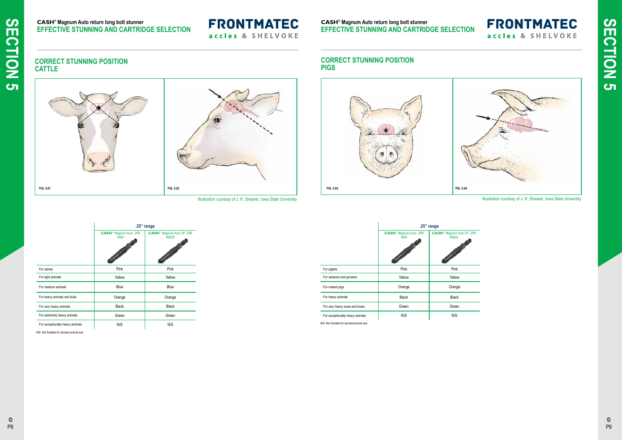Illustration courtesy of J. K. Shearer, Iowa State University

Illustration courtesy of J. K. Shearer, Iowa State University

## $\overline{F}$  .25R

a,

# **FRONTMATEC** accles & SHELVOKE



#### **CORRECT STUNNING POSITION CATTLE**

**CASH**® **Magnum Auto return long bolt stunner EFFECTIVE STUNNING AND CARTRIDGE SELECTION**

## **FRONTMATEC** accles & SHELVOKE

|                                 | .25" range                                 |                                                |  |
|---------------------------------|--------------------------------------------|------------------------------------------------|--|
|                                 | CASH <sup>®</sup> Magnum Auto .25R<br>5660 | CASH <sup>®</sup> Magnum Auto SF .25R<br>5660S |  |
| For calves                      | Pink                                       | Pink                                           |  |
| For light animals               | Yellow                                     | Yellow                                         |  |
| For medium animals              | <b>Blue</b>                                | Blue                                           |  |
| For heavy animals and bulls     | Orange                                     | Orange                                         |  |
| For very heavy animals          | <b>Black</b>                               | <b>Black</b>                                   |  |
| For extremely heavy animals     | Green                                      | Green                                          |  |
| For exceptionally heavy animals | N/S                                        | N/S                                            |  |

 $\copyright$ P9



**SECTION 5 SECTION 5**

|                                           | $.25"$ range                                                                                                                                                       |                                                 |  |
|-------------------------------------------|--------------------------------------------------------------------------------------------------------------------------------------------------------------------|-------------------------------------------------|--|
|                                           | CASH <sup>®</sup> Magnum Auto .25R<br>5660<br><b>Contract Contract Contract Contract Contract Contract Contract Contract Contract Contract Contract Contract C</b> | <b>CASH<sup>®</sup> Magnum Auto SF</b><br>5660S |  |
| For piglets                               | Pink                                                                                                                                                               | Pink                                            |  |
| For weaners and growers                   | Yellow                                                                                                                                                             | Yellow                                          |  |
| For market pigs                           | Orange                                                                                                                                                             | Orange                                          |  |
| For heavy animals                         | <b>Black</b>                                                                                                                                                       | <b>Black</b>                                    |  |
| For very heavy sows and boars             | Green                                                                                                                                                              | Green                                           |  |
| For exceptionally heavy animals           | N/S                                                                                                                                                                | N/S                                             |  |
| N/S: Not Suitable for denoted animal size |                                                                                                                                                                    |                                                 |  |

N/S: Not Suitable for denoted animal size

#### **CORRECT STUNNING POSITION PIGS**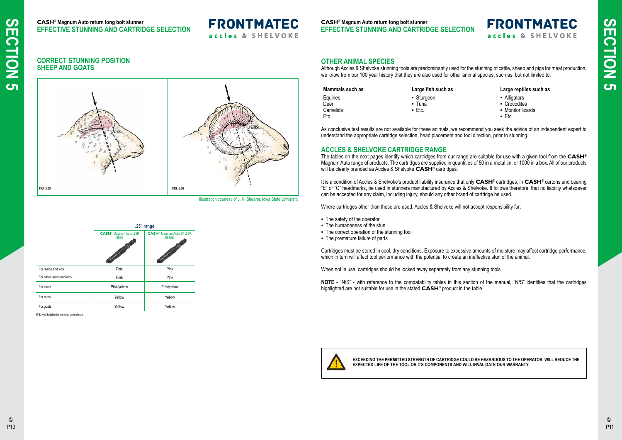**CASH**® **Magnum Auto return long bolt stunner EFFECTIVE STUNNING AND CARTRIDGE SELECTION**

# **FRONTMATEC**

accles & SHELVOKE

#### **CASH**® **Magnum Auto return long bolt stunner EFFECTIVE STUNNING AND CARTRIDGE SELECTION**

#### **OTHER ANIMAL SPECIES**

- **-** Alligators
- Crocodiles
- **Monitor lizards**
- Etc.

Although Accles & Shelvoke stunning tools are predominantly used for the stunning of cattle, sheep and pigs for meat production, we know from our 100 year history that they are also used for other animal species, such as, but not limited to:

#### **Mammals such as Large fish such as Large reptiles such as**

**FRONTMATEC** 

accles & SHELVOKE

| Mammals such as | Large fish such as  |
|-----------------|---------------------|
| Equines         | • Sturgeon          |
| Deer            | • Tuna              |
| Camelids        | $\blacksquare$ Etc. |
| Etc.            |                     |
|                 |                     |

As conclusive test results are not available for these animals, we recommend you seek the advice of an independent expert to understand the appropriate cartridge selection, head placement and tool direction, prior to stunning.

Cartridges must be stored in cool, dry conditions. Exposure to excessive amounts of moisture may affect cartridge performance, which in turn will affect tool performance with the potential to create an ineffective stun of the animal.

### **ACCLES & SHELVOKE CARTRIDGE RANGE**

The tables on the next pages identify which cartridges from our range are suitable for use with a given tool from the **CASH**® Magnum Auto range of products. The cartridges are supplied in quantities of 50 in a metal tin, or 1000 in a box. All of our products will be clearly branded as Accles & Shelvoke **CASH**® cartridges.

|                          | .25" range                                 |                                                |  |
|--------------------------|--------------------------------------------|------------------------------------------------|--|
|                          | CASH <sup>®</sup> Magnum Auto .25R<br>5660 | CASH <sup>®</sup> Magnum Auto SF .25R<br>5660S |  |
| For lambs and kids       | Pink                                       | Pink                                           |  |
| For other lambs and kids | Pink                                       | Pink                                           |  |
| For ewes                 | Pink/yellow                                | Pink/yellow                                    |  |
| For rams                 | Yellow                                     | Yellow                                         |  |
| For goats                | Yellow                                     | Yellow                                         |  |

It is a condition of Accles & Shelvoke's product liability insurance that only **CASH**® cartridges, in **CASH**® cartons and bearing "E" or "C" headmarks, be used in stunners manufactured by Accles & Shelvoke. It follows therefore, that no liability whatsoever can be accepted for any claim, including injury, should any other brand of cartridge be used.

Where cartridges other than these are used, Accles & Shelvoke will not accept responsibility for:

- The safety of the operator
- **The humaneness of the stun**
- The correct operation of the stunning tool
- The premature failure of parts

When not in use, cartridges should be locked away separately from any stunning tools.

**NOTE** - "N/S" - with reference to the compatability tables in this section of the manual, "N/S" identifies that the cartridges highlighted are not suitable for use in the stated **CASH**® product in the table.



Illustration courtesy of J. K. Shearer, Iowa State University

## **CORRECT STUNNING POSITION SHEEP AND GOATS**



N/S: Not Suitable for denoted animal size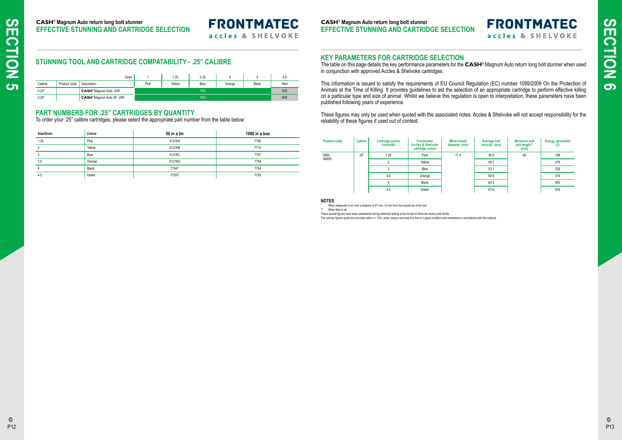## **STUNNING TOOL AND CARTRIDGE COMPATABILITY - .25" CALIBRE**

|         |              | Grain                                 |      | 1.25   | 2.25       |        |       | 4.5 |
|---------|--------------|---------------------------------------|------|--------|------------|--------|-------|-----|
| Calibre | Product code | Description                           | Pink | Yellow | Blue       | Orange | Black | Red |
| 0.25"   |              | CASH <sup>®</sup> Magnum Auto .25R    |      |        | <b>YES</b> |        |       | N/S |
| 0.25"   |              | CASH <sup>®</sup> Magnum Auto SF .25R |      |        | <b>YES</b> |        |       | N/S |

#### **PART NUMBERS FOR .25" CARTRIDGES BY QUANTITY**

To order your .25" calibre cartridges, please select the appropriate part number from the table below:

# **FRONTMATEC** accles & SHELVOKE

| Size/Grain | Colour       | 50 in a tin | 1000 in a box |
|------------|--------------|-------------|---------------|
| 1.25       | Pink         | 4121KA      | 7760          |
| ∩          | Yellow       | 4121KB      | 7710          |
| 3          | Blue         | 4121KC      | 7757          |
| 3.5        | Orange       | 4121KD      | 7754          |
| 4          | <b>Black</b> | 7754T       | 7754          |
| 4.5        | Green        | 7725T       | 7725          |

**CASH**® **Magnum Auto return long bolt stunner EFFECTIVE STUNNING AND CARTRIDGE SELECTION**

# **FRONTMATEC**

accles & SHELVOKE

#### **CASH**® **Magnum Auto return long bolt stunner EFFECTIVE STUNNING AND CARTRIDGE SELECTION**

#### **KEY PARAMETERS FOR CARTRIDGE SELECTION**

The table on this page details the key performance parameters for the **CASH**® Magnum Auto return long bolt stunner when used in conjunction with approved Accles & Shelvoke cartridges.

These quoted figures have been established during extensive testing at the Accles & Shelvoke factory test facility. The velocity figures quotd are accurate within +/- 15%, when using a stunning tool that is in good condition and maintained in accordance with this manual.

This information is issued to satisfy the requirements of EU Council Regulation (EC) number 1099/2009 On the Protection of Animals at the Time of Killing. It provides guidelines to aid the selection of an appropriate cartridge to perform effective killing on a particular type and size of animal. Whilst we believe this regulation is open to interpretation, these parameters have been published following years of experience.

These figures may only be used when quoted with the associated notes. Accles & Shelvoke will not accept responsibility for the reliability of these figures if used out of context.

| <b>Product code</b> | <b>Calibre</b> | <b>Cartridge grains</b><br>(nominal) | <b>Frontmatec</b><br><b>Accles &amp; Shelvoke</b><br>cartridge colour | #Bolt (head)<br>diameter (mm)                        | Average bolt<br>velocity* (m/s) | Minimum bolt<br>exit length**<br>(mm) | <b>Energy generated</b><br>(J) |
|---------------------|----------------|--------------------------------------|-----------------------------------------------------------------------|------------------------------------------------------|---------------------------------|---------------------------------------|--------------------------------|
| 5660                | .25"           | 1.25                                 | Pink                                                                  | 11.4<br>36.6<br>65<br>48.7<br>Yellow<br>53.1<br>Blue | 156                             |                                       |                                |
| 5660S               |                |                                      |                                                                       |                                                      |                                 |                                       | 276                            |
|                     |                | 3                                    |                                                                       |                                                      |                                 |                                       | 329                            |
|                     |                | 3.5                                  | Orange                                                                |                                                      | 56.6                            |                                       | 374                            |
|                     |                |                                      | Black                                                                 |                                                      | 64.4                            |                                       | 483                            |
|                     |                | 4.5                                  | Green                                                                 |                                                      | 67.6                            |                                       | 533                            |

#### **NOTES**

When measured in air over a distance of 47 mm, 15 mm from the muzzle tip of the tool

\*\* When fired in air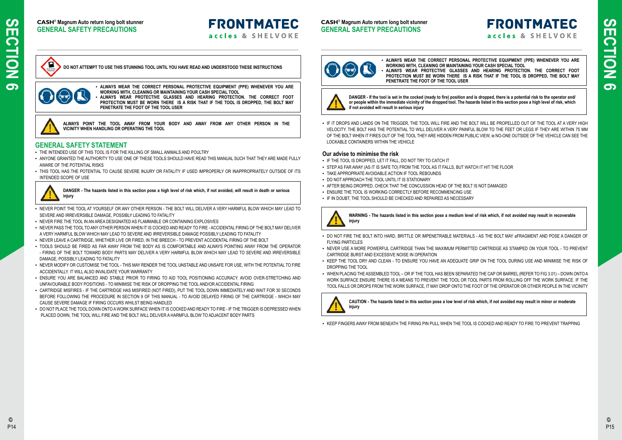#### **CASH**® **Magnum Auto return long bolt stunner GENERAL SAFETY PRECAUTIONS**

**FRONTMATEC** 

accles & SHELVOKE

#### **CASH**® **Magnum Auto return long bolt stunner GENERAL SAFETY PRECAUTIONS**



. IF IT DROPS AND LANDS ON THE TRIGGER, THE TOOL WILL FIRE AND THE BOLT WILL BE PROPELLED OUT OF THE TOOL AT A VERY HIGH VELOCITY. THE BOLT HAS THE POTENTIAL TO WILL DELIVER A VERY PAINFUL BLOW TO THE FEET OR LEGS IF THEY ARE WITHIN 75 MM OF THE BOLT WHEN IT FIRES OUT OF THE TOOL THEY ARE HIDDEN FROM PUBLIC VIEW, ie NO-ONE OUTSIDE OF THE VEHICLE CAN SEE THE LOCKABLE CONTAINERS WITHIN THE VEHICLE

#### **Our advise to minimise the risk**

- **.** IF THE TOOL IS DROPPED, LET IT FALL, DO NOT TRY TO CATCH IT
- STEP AS FAR AWAY (AS IT IS SAFE TO) FROM THE TOOL AS IT FALLS, BUT WATCH IT HIT THE FLOOR
- **TAKE APPROPRIATE AVOIDABLE ACTION IF TOOL REBOUNDS**
- **DO NOT APPROACH THE TOOL UNTIL IT IS STATIONARY**
- AFTER BEING DROPPED, CHECK THAT THE CONCUSSION HEAD OF THE BOLT IS NOT DAMAGED
- **ENSURE THE TOOL IS WORKING CORRECTLY BEFORE RECOMMENCING USE**
- IF IN DOUBT. THE TOOL SHOULD BE CHECKED AND REPAIRED AS NECESSARY



- DO NOT FIRE THE BOLT INTO HARD, BRITTLE OR IMPENETRABLE MATERIALS AS THE BOLT MAY aFRAGMENT AND POSE A DANGER OF FLYING PARTICLES
- NEVER USE A MORE POWERFUL CARTRIDGE THAN THE MAXIMUM PERMITTED CARTRIDGE AS STAMPED ON YOUR TOOL TO PREVENT CARTRIDGE BURST AND EXCESSIVE NOISE IN OPERATION
- . KEEP THE TOOL DRY AND CLEAN TO ENSURE YOU HAVE AN ADEQUATE GRIP ON THE TOOL DURING USE AND MINIMISE THE RISK OF DROPPING THE TOOL
- WHEN PLACING THE ASSEMBLED TOOL OR IF THE TOOL HAS BEEN SEPARATED THE CAP OR BARREL (REFER TO FIG 3.01) DOWN ONTO A WORK SURFACE ENSURE THERE IS A MEANS TO PREVENT THE TOOL OR TOOL PARTS FROM ROLLING OFF THE WORK SURFACE. IF THE TOOL FALLS OR DROPS FROM THE WORK SURFACE, IT MAY DROP ONTO THE FOOT OF THE OPERATOR OR OTHER PEOPLE IN THE VICINITY



- . THE INTENDED USE OF THIS TOOL IS FOR THE KILLING OF SMALL ANIMALS AND POULTRY
- ANYONE GRANTED THE AUTHORITY TO USE ONE OF THESE TOOLS SHOULD HAVE READ THIS MANUAL SUCH THAT THEY ARE MADE FULLY AWARE OF THE POTENTIAL RISKS
- . THIS TOOL HAS THE POTENTIAL TO CAUSE SEVERE INJURY OR FATALITY IF USED IMPROPERLY OR INAPPROPRIATELY OUTSIDE OF ITS INTENDED SCOPE OF USE



▪ KEEP FINGERS AWAY FROM BENEATH THE FIRING PIN PULL WHEN THE TOOL IS COCKED AND READY TO FIRE TO PREVENT TRAPPING

# **FRONTMATEC** accles & SHELVOKE

▪ **ALWAYS WEAR THE CORRECT PERSONAL PROTECTIVE EQUIPMENT (PPE) WHENEVER YOU ARE WORKING WITH, CLEANING OR MAINTAINING YOUR CASH SPECIAL TOOL** ALWAYS WEAR PROTECTIVE GLASSES AND HEARING PROTECTION. THE CORRECT FOOT **PROTECTION MUST BE WORN THERE IS A RISK THAT IF THE TOOL IS DROPPED, THE BOLT MAY PENETRATE THE FOOT OF THE TOOL USER**



**DANGER - If the tool is set in the cocked (ready to fire) position and is dropped, there is a potential risk to the operator and/ or people within the immediate vicinity of the dropped tool. The hazards listed in this section pose a high level of risk, which if not avoided will result in serious injury**

▪ **ALWAYS WEAR THE CORRECT PERSONAL PROTECTIVE EQUIPMENT (PPE) WHENEVER YOU ARE WORKING WITH, CLEANING OR MAINTAINING YOUR CASH SPECIAL TOOL** ALWAYS WEAR PROTECTIVE GLASSES AND HEARING PROTECTION. THE CORRECT FOOT

#### **WARNING - The hazards listed in this section pose a medium level of risk which, if not avoided may result in recoverable injury**

**CAUTION - The hazards listed in this section pose a low level of risk which, if not avoided may result in minor or moderate** 

**injury**

### **GENERAL SAFETY STATEMENT**

- NEVER POINT THE TOOL AT YOURSELF OR ANY OTHER PERSON THE BOLT WILL DELIVER A VERY HARMFUL BLOW WHICH MAY LEAD TO SEVERE AND IRREVERSIBLE DAMAGE, POSSIBLY LEADING TO FATALITY
- NEVER FIRE THE TOOL IN AN AREA DESIGNATED AS FLAMMABLE OR CONTAINING EXPLOSIVES
- NEVER PASS THE TOOL TO ANY OTHER PERSON WHEN IT IS COCKED AND READY TO FIRE ACCIDENTAL FIRING OF THE BOLT MAY DELIVER A VERY HARMFUL BLOW WHICH MAY LEAD TO SEVERE AND IRREVERSIBLE DAMAGE POSSIBLY LEADING TO FATALITY
- NEVER LEAVE A CARTRIDGE, WHETHER LIVE OR FIRED, IN THE BREECH TO PREVENT ACCIDENTAL FIRING OF THE BOLT
- TOOLS SHOULD BE FIRED AS FAR AWAY FROM THE BODY AS IS COMFORTABLE AND ALWAYS POINTING AWAY FROM THE OPERATOR - FIRING OF THE BOLT TOWARD BODY PARTS MAY DELIVER A VERY HARMFUL BLOW WHICH MAY LEAD TO SEVERE AND IRREVERSIBLE DAMAGE, POSSIBLY LEADING TO FATALITY
- NEVER MODIFY OR CUSTOMISE THE TOOL THIS MAY RENDER THE TOOL UNSTABLE AND UNSAFE FOR USE, WITH THE POTENTIAL TO FIRE ACCIDENTALLY. IT WILL ALSO INVALIDATE YOUR WARRANTY
- . ENSURE YOU ARE BALANCED AND STABLE PRIOR TO FIRING TO AID TOOL POSITIONING ACCURACY. AVOID OVER-STRETCHING AND UNFAVOURABLE BODY POSITIONS - TO MINIMISE THE RISK OF DROPPING THE TOOL AND/OR ACCIDENTAL FIRING
- CARTRIDGE MISFIRES IF THE CARTRIDGE HAS MISFIRED (NOT FIRED), PUT THE TOOL DOWN IMMEDIATELY AND WAIT FOR 30 SECONDS BEFORE FOLLOWING THE PROCEDURE IN SECTION 9 OF THIS MANUAL - TO AVOID DELAYED FIRING OF THE CARTRIDGE - WHICH MAY CAUSE SEVERE DAMAGE IF FIRING OCCURS WHILST BEING HANDLED
- DO NOT PLACE THE TOOL DOWN ONTO A WORK SURFACE WHEN IT IS COCKED AND READY TO FIRE IF THE TRIGGER IS DEPRESSED WHEN PLACED DOWN, THE TOOL WILL FIRE AND THE BOLT WILL DELIVER A HARMFUL BLOW TO ADJACENT BODY PARTS



**PROTECTION MUST BE WORN THERE IS A RISK THAT IF THE TOOL IS DROPPED, THE BOLT MAY PENETRATE THE FOOT OF THE TOOL USER**



**ALWAYS POINT THE TOOL AWAY FROM YOUR BODY AND AWAY FROM ANY OTHER PERSON IN THE VICINITY WHEN HANDLING OR OPERATING THE TOOL**

**DANGER - The hazards listed in this section pose a high level of risk which, if not avoided, will result in death or serious injury**

**DO NOT ATTEMPT TO USE THIS STUNNING TOOL UNTIL YOU HAVE READ AND UNDERSTOOD THESE INSTRUCTIONS**

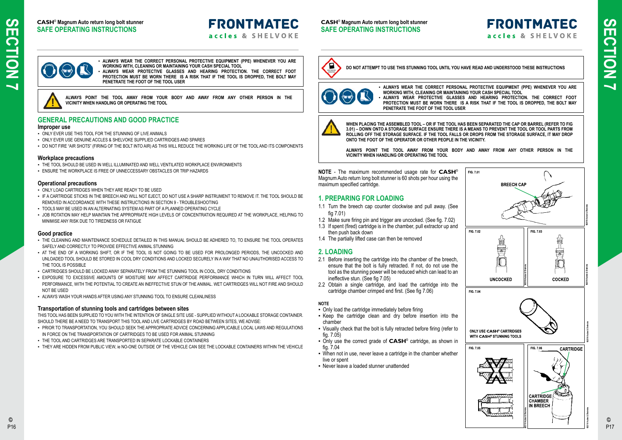#### **CASH**® **Magnum Auto return long bolt stunner SAFE OPERATING INSTRUCTIONS**

# **FRONTMATEC**

accles & SHELVOKE

# **FRONTMATEC** accles & SHELVOKE







**NOTE** - The maximum recommended usage rate for **CASH**® Magnum Auto return long bolt stunner is 60 shots per hour using the maximum specified cartridge.

#### **1. PREPARING FOR LOADING**

- 1.1 Turn the breech cap counter clockwise and pull away. (See fig 7.01)
- 1.2 Make sure firing pin and trigger are uncocked. (See fig. 7.02)
- 1.3 If spent (fired) cartridge is in the chamber, pull extractor up and then push back down
- 1.4 The partially lifted case can then be removed

#### **2. LOADING**

- 2.1 Before inserting the cartridge into the chamber of the breech, ensure that the bolt is fully retracted. If not, do not use the tool as the stunning power will be reduced which can lead to an ineffective stun. (See fig 7.05)
- 2.2 Obtain a single cartridge, and load the cartridge into the cartridge chamber crimped end first. (See fig 7.06)

#### **NOTE**

- ONLY EVER USE THIS TOOL FOR THE STUNNING OF LIVE ANIMALS
- ONLY EVER USE GENUINE ACCLES & SHELVOKE SUPPLIED CARTRIDGES AND SPARES
- . DO NOT FIRE "AIR SHOTS" (FIRING OF THE BOLT INTO AIR) AS THIS WILL REDUCE THE WORKING LIFE OF THE TOOL AND ITS COMPONENTS

- Only load the cartridge immediately before firing
- Keep the cartridge clean and dry before insertion into the chamber
- Visually check that the bolt is fully retracted before firing (refer to fig. 7.05)
- Only use the correct grade of **CASH**® cartridge, as shown in fig. 7.04
- When not in use, never leave a cartridge in the chamber whether live or spent
- Never leave a loaded stunner unattended
- THE TOOL SHOULD BE USED IN WELL ILLUMINATED AND WELL VENTILATED WORKPLACE ENVIRONMENTS
- **ENSURE THE WORKPLACE IS FREE OF UNNECCESSARY OBSTACLES OR TRIP HAZARDS**

▪ **ALWAYS WEAR THE CORRECT PERSONAL PROTECTIVE EQUIPMENT (PPE) WHENEVER YOU ARE WORKING WITH, CLEANING OR MAINTAINING YOUR CASH SPECIAL TOOL** ALWAYS WEAR PROTECTIVE GLASSES AND HEARING PROTECTION. THE CORRECT FOOT **PROTECTION MUST BE WORN THERE IS A RISK THAT IF THE TOOL IS DROPPED, THE BOLT MAY PENETRATE THE FOOT OF THE TOOL USER**



**WHEN PLACING THE ASSEMBLED TOOL – OR IF THE TOOL HAS BEEN SEPARATED THE CAP OR BARREL (REFER TO FIG 3.01) – DOWN ONTO A STORAGE SURFACE ENSURE THERE IS A MEANS TO PREVENT THE TOOL OR TOOL PARTS FROM ROLLING OFF THE STORAGE SURFACE. IF THE TOOL FALLS OR DROPS FROM THE STORAGE SURFACE, IT MAY DROP ONTO THE FOOT OF THE OPERATOR OR OTHER PEOPLE IN THE VICINITY.** 

**ALWAYS POINT THE TOOL AWAY FROM YOUR BODY AND AWAY FROM ANY OTHER PERSON IN THE VICINITY WHEN HANDLING OR OPERATING THE TOOL**

**DO NOT ATTEMPT TO USE THIS STUNNING TOOL UNTIL YOU HAVE READ AND UNDERSTOOD THESE INSTRUCTIONS**



## **GENERAL PRECAUTIONS AND GOOD PRACTICE**

#### **Improper use**

- **.** PRIOR TO TRANSPORTATION, YOU SHOULD SEEK THE APPROPRIATE ADVICE CONCERNING APPLICABLE LOCAL LAWS AND REGULATIONS IN FORCE ON THE TRANSPORTATION OF CARTRIDGES TO BE USED FOR ANIMAL STUNNING
- **· THE TOOL AND CARTRIDGES ARE TRANSPORTED IN SEPARATE LOCKABLE CONTAINERS**
- THEY ARE HIDDEN FROM PUBLIC VIEW, ie NO-ONE OUTSIDE OF THE VEHICLE CAN SEE THE LOCKABLE CONTAINERS WITHIN THE VEHICLE

#### **Workplace precautions**

#### **Operational precautions**

- ONLY LOAD CARTRIDGES WHEN THEY ARE READY TO BE USED
- IF A CARTRIDGE STICKS IN THE BREECH AND WILL NOT EJECT, DO NOT USE A SHARP INSTRUMENT TO REMOVE IT. THE TOOL SHOULD BE REMOVED IN ACCORDANCE WITH THESE INSTRUCTIONS IN SECTION 9 - TROUBLESHOOTING
- TOOLS MAY BE USED IN AN ALTERNATING SYSTEM AS PART OF A PLANNED OPERATING CYCLE
- JOB ROTATION MAY HELP MAINTAIN THE APPROPRIATE HIGH LEVELS OF CONCENTRATION REQUIRED AT THE WORKPLACE, HELPING TO MINIMISE ANY RISK DUE TO TIREDNESS OR FATIGUE

#### **Good practice**

- . THE CLEANING AND MAINTENANCE SCHEDULE DETAILED IN THIS MANUAL SHOULD BE ADHERED TO, TO ENSURE THE TOOL OPERATES SAFELY AND CORRECTLY TO PROVIDE EFFECTIVE ANIMAL STUNNING
- AT THE END OF A WORKING SHIFT, OR IF THE TOOL IS NOT GOING TO BE USED FOR PROLONGED PERIODS, THE UNCOCKED AND UNLOADED TOOL SHOULD BE STORED IN COOL DRY CONDITIONS AND LOCKED SECURELY IN A WAY THAT NO UNAUTHORISED ACCESS TO THE TOOL IS POSSIBLE
- CARTRIDGES SHOULD BE LOCKED AWAY SEPARATELY FROM THE STUNNING TOOL IN COOL, DRY CONDITIONS
- . EXPOSURE TO EXCESSIVE AMOUNTS OF MOISTURE MAY AFFECT CARTRIDGE PERFORMANCE WHICH IN TURN WILL AFFECT TOOL PERFORMANCE, WITH THE POTENTIAL TO CREATE AN INEFFECTIVE STUN OF THE ANIMAL. WET CARTRIDGES WILL NOT FIRE AND SHOULD NOT BE USED
- **ALWAYS WASH YOUR HANDS AFTER USING ANY STUNNING TOOL TO ENSURE CLEANLINESS**

#### **Transportation of stunning tools and cartridges between sites**

THIS TOOL HAS BEEN SUPPLIED TO YOU WITH THE INTENTION OF SINGLE SITE USE - SUPPLIED WITHOUT A LOCKABLE STORAGE CONTAINER. SHOULD THERE BE A NEED TO TRANSPORT THIS TOOL AND LIVE CARTRIDGES BY ROAD BETWEEN SITES, WE ADVISE:

▪ **ALWAYS WEAR THE CORRECT PERSONAL PROTECTIVE EQUIPMENT (PPE) WHENEVER YOU ARE WORKING WITH, CLEANING OR MAINTAINING YOUR CASH SPECIAL TOOL** ALWAYS WEAR PROTECTIVE GLASSES AND HEARING PROTECTION. THE CORRECT FOOT **PROTECTION MUST BE WORN THERE IS A RISK THAT IF THE TOOL IS DROPPED, THE BOLT MAY** 

**PENETRATE THE FOOT OF THE TOOL USER**

**ALWAYS POINT THE TOOL AWAY FROM YOUR BODY AND AWAY FROM ANY OTHER PERSON IN THE VICINITY WHEN HANDLING OR OPERATING THE TOOL**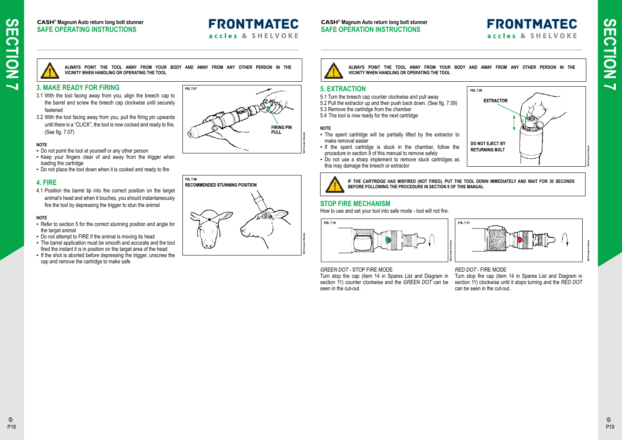# SECTION P18 **SECTION 7**  $\overline{\phantom{0}}$

#### **CASH**® **Magnum Auto return long bolt stunner SAFE OPERATING INSTRUCTIONS**

# **FRONTMATEC**

accles & SHELVOKE

**ALWAYS POINT THE TOOL AWAY FROM YOUR BODY AND AWAY FROM ANY OTHER PERSON IN THE VICINITY WHEN HANDLING OR OPERATING THE TOOL**

## **3. MAKE READY FOR FIRING**

- 3.1 With the tool facing away from you, align the breech cap to the barrel and screw the breech cap clockwise until securely fastened
- 3.2 With the tool facing away from you, pull the firing pin upwards until there is a "CLICK", the tool is now cocked and ready to fire. (See fig. 7.07)

#### **NOTE**

- Do not point the tool at yourself or any other person
- Keep your fingers clear of and away from the trigger when loading the cartridge
- Do not place the tool down when it is cocked and ready to fire

- Refer to section 5 for the correct stunning position and angle for the target animal
- Do not attempt to FIRE if the animal is moving its head
- The barrel application must be smooth and accurate and the tool fired the instant it is in position on the target area of the head
- **.** If the shot is aborted before depressing the trigger, unscrew the cap and remove the cartridge to make safe







# SECTION 7 **SECTION 7**

### **4. FIRE**

4.1 Position the barrel tip into the correct position on the target animal's head and when it touches, you should instantaneously fire the tool by depressing the trigger to stun the animal

#### **NOTE**

- The spent cartridge will be partially lifted by the extractor to make removal easier
- If the spent cartridge is stuck in the chamber, follow the procedure in section 9 of this manual to remove safely
- Do not use a sharp implement to remove stuck cartridges as this may damage the breech or extractor



#### **CASH**® **Magnum Auto return long bolt stunner SAFE OPERATION INSTRUCTIONS**

## **5. EXTRACTION**

- 5.1 Turn the breech cap counter clockwise and pull away
- 5.2 Pull the extractor up and then push back down. (See fig. 7.09)
- 5.3 Remove the cartridge from the chamber
- 5.4 The tool is now ready for the next cartridge

#### **NOTE**

## **STOP FIRE MECHANISM**

How to use and set your tool into safe mode - tool will not fire.



#### *GREEN DOT* - STOP FIRE MODE

Turn stop fire cap (item 14 in Spares List and Diagram in section 11) counter clockwise and the *GREEN DOT* can be seen in the cut-out.

# **FRONTMATEC** accles & SHELVOKE





#### *RED DOT* - FIRE MODE

Turn stop fire cap (item 14 in Spares List and Diagram in section 11) clockwise until it stops turning and the *RED DOT* can be seen in the cut-out.

**IF THE CARTRIDGE HAS MISFIRED (NOT FIRED), PUT THE TOOL DOWN IMMEDIATELY AND WAIT FOR 30 SECONDS BEFORE FOLLOWING THE PROCEDURE IN SECTION 9 OF THIS MANUAL**

**ALWAYS POINT THE TOOL AWAY FROM YOUR BODY AND AWAY FROM ANY OTHER PERSON IN THE VICINITY WHEN HANDLING OR OPERATING THE TOOL**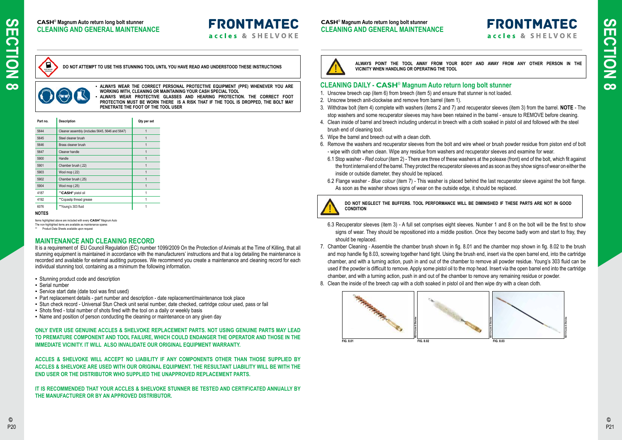

#### **CASH**® **Magnum Auto return long bolt stunner CLEANING AND GENERAL MAINTENANCE**

**FRONTMATEC** 

accles & SHELVOKE

#### **CASH**® **Magnum Auto return long bolt stunner CLEANING AND GENERAL MAINTENANCE**

E

#### **CLEANING DAILY - CASH**® **Magnum Auto return long bolt stunner**

- 1. Unscrew breech cap (item 6) from breech (item 5) and ensure that stunner is not loaded.
- 2. Unscrew breech anit-clockwise and remove from barrel (item 1).
- 3. Withdraw bolt (item 4) complete with washers (items 2 and 7) and recuperator sleeves (item 3) from the barrel. **NOTE** The stop washers and some recuperator sleeves may have been retained in the barrel - ensure to REMOVE before cleaning.
- 4. Clean inside of barrel and breech including undercut in breech with a cloth soaked in pistol oil and followed with the steel brush end of cleaning tool.
- 5. Wipe the barrel and breech out with a clean cloth.
- 6. Remove the washers and recuperator sleeves from the bolt and wire wheel or brush powder residue from piston end of bolt - wipe with cloth when clean. Wipe any residue from washers and recuperator sleeves and examine for wear.
	- 6.1 Stop washer *Red colour* (item 2) There are three of these washers at the poleaxe (front) end of the bolt, which fit against the front internal end of the barrel. They protect the recuperator sleeves and as soon as they show signs of wear on either the inside or outside diameter, they should be replaced.
	- 6.2 Flange washer *Blue colour* (item 7) This washer is placed behind the last recuperator sleeve against the bolt flange. As soon as the washer shows signs of wear on the outside edge, it should be replaced.



The non-highlighted items are available as maintenance spares Product Data Sheets available upon request

- 6.3 Recuperator sleeves (item 3) A full set comprises eight sleeves. Number 1 and 8 on the bolt will be the first to show signs of wear. They should be repositioned into a middle position. Once they become badly worn and start to fray, they should be replaced.
- 7. Chamber Cleaning Assemble the chamber brush shown in fig. 8.01 and the chamber mop shown in fig. 8.02 to the brush and mop handle fig 8.03, screwing together hand tight. Using the brush end, insert via the open barrel end, into the cartridge chamber, and with a turning action, push in and out of the chamber to remove all powder residue. Young's 303 fluid can be used if the powder is difficult to remove. Apply some pistol oil to the mop head. Insert via the open barrel end into the cartridge chamber, and with a turning action, push in and out of the chamber to remove any remaining residue or powder.
- 8. Clean the inside of the breech cap with a cloth soaked in pistol oil and then wipe dry with a clean cloth.
- Stunning product code and description
- Serial number
- Service start date (date tool was first used)
- Part replacement details part number and description date replacement/maintenance took place
- Stun check record Universal Stun Check unit serial number, date checked, cartridge colour used, pass or fail
- Shots fired total number of shots fired with the tool on a daily or weekly basis
- Name and position of person conducting the cleaning or maintenance on any given day

**ALWAYS POINT THE TOOL AWAY FROM YOUR BODY AND AWAY FROM ANY OTHER PERSON IN THE VICINITY WHEN HANDLING OR OPERATING THE TOOL**

**DO NOT NEGLECT THE BUFFERS. TOOL PERFORMANCE WILL BE DIMINISHED IF THESE PARTS ARE NOT IN GOOD CONDITION**

▪ **ALWAYS WEAR THE CORRECT PERSONAL PROTECTIVE EQUIPMENT (PPE) WHENEVER YOU ARE WORKING WITH, CLEANING OR MAINTAINING YOUR CASH SPECIAL TOOL** ALWAYS WEAR PROTECTIVE GLASSES AND HEARING PROTECTION. THE CORRECT FOOT **PROTECTION MUST BE WORN THERE IS A RISK THAT IF THE TOOL IS DROPPED, THE BOLT MAY PENETRATE THE FOOT OF THE TOOL USER**

**DO NOT ATTEMPT TO USE THIS STUNNING TOOL UNTIL YOU HAVE READ AND UNDERSTOOD THESE INSTRUCTIONS**



| Part no. | <b>Description</b>                              | Qty per set |
|----------|-------------------------------------------------|-------------|
| 5644     | Cleaner assembly (includes 5645, 5646 and 5647) | 1           |
| 5645     | Steel cleaner brush                             | 1           |
| 5646     | Brass cleaner brush                             | 1           |
| 5647     | Cleaner handle                                  |             |
| 5900     | Handle                                          | 1           |
| 5901     | Chamber brush (.22)                             | 1           |
| 5903     | Wool mop (.22)                                  | 1           |
| 5902     | Chamber brush (.25)                             | 1           |
| 5904     | Wool mop (.25)                                  | 1           |
| 4187     | **CASH <sup>®</sup> pistol oil                  |             |
| 4192     | **Copaslip thread grease                        |             |
| 6076     | **Young's 303 fluid                             |             |

#### **NOTES**

Items highlighted above are included with every **CASH**® Magnum Auto

#### **MAINTENANCE AND CLEANING RECORD**

It is a requirement of EU Council Regulation (EC) number 1099/2009 On the Protection of Animals at the Time of Killing, that all stunning equipment is maintained in accordance with the manufacturers' instructions and that a log detailing the maintenance is recorded and available for external auditing purposes. We recommend you create a maintenance and cleaning record for each individual stunning tool, containing as a minimum the following information.

**ONLY EVER USE GENUINE ACCLES & SHELVOKE REPLACEMENT PARTS. NOT USING GENUINE PARTS MAY LEAD TO PREMATURE COMPONENT AND TOOL FAILURE, WHICH COULD ENDANGER THE OPERATOR AND THOSE IN THE IMMEDIATE VICINITY. IT WILL ALSO INVALIDATE OUR ORIGINAL EQUIPMENT WARRANTY.**

**ACCLES & SHELVOKE WILL ACCEPT NO LIABILITY IF ANY COMPONENTS OTHER THAN THOSE SUPPLIED BY ACCLES & SHELVOKE ARE USED WITH OUR ORIGINAL EQUIPMENT. THE RESULTANT LIABILITY WILL BE WITH THE END USER OR THE DISTRIBUTOR WHO SUPPLIED THE UNAPPROVED REPLACEMENT PARTS.**

**IT IS RECOMMENDED THAT YOUR ACCLES & SHELVOKE STUNNER BE TESTED AND CERTIFICATED ANNUALLY BY THE MANUFACTURER OR BY AN APPROVED DISTRIBUTOR.**

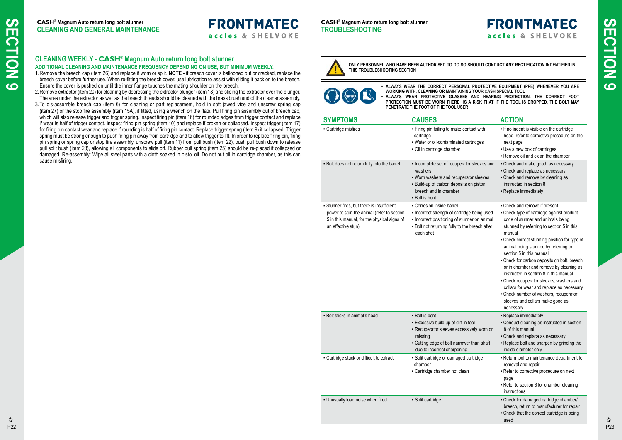**CASH**® **Magnum Auto return long bolt stunner TROUBLESHOOTING**

| <b>SYMPTOMS</b>                                                                                                                                               | <b>CAUSES</b>                                                                                                                                                                               | <b>ACTION</b>                                                                                                                                                                                                                                                                                                                                                                                                                                                                                                                                                                                                       |
|---------------------------------------------------------------------------------------------------------------------------------------------------------------|---------------------------------------------------------------------------------------------------------------------------------------------------------------------------------------------|---------------------------------------------------------------------------------------------------------------------------------------------------------------------------------------------------------------------------------------------------------------------------------------------------------------------------------------------------------------------------------------------------------------------------------------------------------------------------------------------------------------------------------------------------------------------------------------------------------------------|
| - Cartridge misfires                                                                                                                                          | - Firing pin failing to make contact with<br>cartridge<br>- Water or oil-contaminated cartridges<br>- Oil in cartridge chamber                                                              | - If no indent is visible on the cartridge<br>head, refer to corrective procedure on the<br>next page<br>- Use a new box of cartridges<br>- Remove oil and clean the chamber                                                                                                                                                                                                                                                                                                                                                                                                                                        |
| - Bolt does not return fully into the barrel                                                                                                                  | - Incomplete set of recuperator sleeves and<br>washers<br>- Worn washers and recuperator sleeves<br>- Build-up of carbon deposits on piston,<br>breech and in chamber<br>- Bolt is bent     | - Check and make good, as necessary<br>- Check and replace as necessary<br>- Check and remove by cleaning as<br>instructed in section 8<br>- Replace immediately                                                                                                                                                                                                                                                                                                                                                                                                                                                    |
| - Stunner fires, but there is insufficient<br>power to stun the animal (refer to section<br>5 in this manual, for the physical signs of<br>an effective stun) | • Corrosion inside barrel<br>- Incorrect strength of cartridge being used<br>- Incorrect positioning of stunner on animal<br>- Bolt not returning fully to the breech after<br>each shot    | - Check and remove if present<br>- Check type of cartridge against product<br>code of stunner and animals being<br>stunned by referring to section 5 in this<br>manual<br>- Check correct stunning position for type of<br>animal being stunned by referring to<br>section 5 in this manual<br>- Check for carbon deposits on bolt, breech<br>or in chamber and remove by cleaning as<br>instructed in section 8 in this manual<br>- Check recuperator sleeves, washers and<br>collars for wear and replace as necessary<br>- Check number of washers, recuperator<br>sleeves and collars make good as<br>necessary |
| - Bolt sticks in animal's head                                                                                                                                | - Bolt is bent<br>- Excessive build up of dirt in tool<br>- Recuperator sleeves excessively worn or<br>missing<br>- Cutting edge of bolt narrower than shaft<br>due to incorrect sharpening | - Replace immediately<br>- Conduct cleaning as instructed in section<br>8 of this manual<br>- Check and replace as necessary<br>- Replace bolt and sharpen by grinding the<br>inside diameter only                                                                                                                                                                                                                                                                                                                                                                                                                  |
| - Cartridge stuck or difficult to extract                                                                                                                     | - Split cartridge or damaged cartridge<br>chamber<br>- Cartridge chamber not clean                                                                                                          | - Return tool to maintenance department for<br>removal and repair<br>- Refer to corrective procedure on next<br>page<br>- Refer to section 8 for chamber cleaning<br>instructions                                                                                                                                                                                                                                                                                                                                                                                                                                   |
| - Unusually load noise when fired                                                                                                                             | - Split cartridge                                                                                                                                                                           | - Check for damaged cartridge chamber/<br>breech, return to manufacturer for repair<br>- Check that the correct cartridge is being<br>used                                                                                                                                                                                                                                                                                                                                                                                                                                                                          |

# **FRONTMATEC** accles & SHELVOKE

▪ **ALWAYS WEAR THE CORRECT PERSONAL PROTECTIVE EQUIPMENT (PPE) WHENEVER YOU ARE WORKING WITH, CLEANING OR MAINTAINING YOUR CASH SPECIAL TOOL** ALWAYS WEAR PROTECTIVE GLASSES AND HEARING PROTECTION. THE CORRECT FOOT **PROTECTION MUST BE WORN THERE IS A RISK THAT IF THE TOOL IS DROPPED, THE BOLT MAY PENETRATE THE FOOT OF THE TOOL USER**

**ONLY PERSONNEL WHO HAVE BEEN AUTHORISED TO DO SO SHOULD CONDUCT ANY RECTIFICATION INDENTIFIED IN THIS TROUBLESHOOTING SECTION**



## **CLEANING WEEKLY - CASH**® **Magnum Auto return long bolt stunner**

#### **ADDITIONAL CLEANING AND MAINTENANCE FREQUENCY DEPENDING ON USE, BUT MINIMUM WEEKLY.**

- 1.Remove the breech cap (item 26) and replace if worn or split. **NOTE** if breech cover is ballooned out or cracked, replace the breech cover before further use. When re-fitting the breech cover, use lubrication to assist with sliding it back on to the breech. Ensure the cover is pushed on until the inner flange touches the mating shoulder on the breech.
- 2.Remove extractor (item 20) for cleaning by depressing the extractor plunger (item 18) and sliding the extractor over the plunger. The area under the extractor as well as the breech threads should be cleaned with the brass brush end of the cleaner assembly.
- 3.To dis-assemble breech cap (item 6) for cleaning or part replacement, hold in soft jawed vice and unscrew spring cap (item 27) or the stop fire assembly (item 15A), if fitted, using a wrench on the flats. Pull firing pin assembly out of breech cap, which will also release trigger and trigger spring. Inspect firing pin (item 16) for rounded edges from trigger contact and replace if wear is half of trigger contact. Inspect firing pin spring (item 10) and replace if broken or collapsed. Inspect trigger (item 17) for firing pin contact wear and replace if rounding is half of firing pin contact. Replace trigger spring (item 9) if collapsed. Trigger spring must be strong enough to push firing pin away from cartridge and to allow trigger to lift. In order to replace firing pin, firing pin spring or spring cap or stop fire assembly, unscrew pull (item 11) from pull bush (item 22), push pull bush down to release pull split bush (item 23), allowing all components to slide off. Rubber pull spring (item 25) should be re-placed if collapsed or damaged. Re-assembly: Wipe all steel parts with a cloth soaked in pistol oil. Do not put oil in cartridge chamber, as this can cause misfiring.

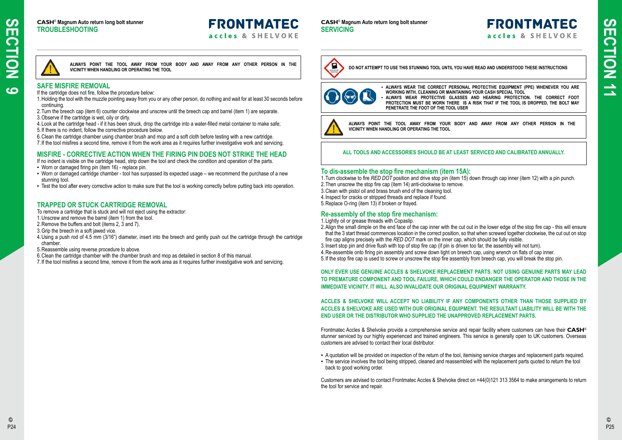#### **CASH**® **Magnum Auto return long bolt stunner TROUBLESHOOTING**

# **FRONTMATEC**

accles & SHELVOKE

#### **CASH**® **Magnum Auto return long bolt stunner SERVICING**

▪ **ALWAYS WEAR THE CORRECT PERSONAL PROTECTIVE EQUIPMENT (PPE) WHENEVER YOU ARE WORKING WITH, CLEANING OR MAINTAINING YOUR CASH SPECIAL TOOL** ALWAYS WEAR PROTECTIVE GLASSES AND HEARING PROTECTION. THE CORRECT FOOT **PROTECTION MUST BE WORN THERE IS A RISK THAT IF THE TOOL IS DROPPED, THE BOLT MAY PENETRATE THE FOOT OF THE TOOL USER**



**ALWAYS POINT THE TOOL AWAY FROM YOUR BODY AND AWAY FROM ANY OTHER PERSON IN THE VICINITY WHEN HANDLING OR OPERATING THE TOOL**

**DO NOT ATTEMPT TO USE THIS STUNNING TOOL UNTIL YOU HAVE READ AND UNDERSTOOD THESE INSTRUCTIONS**



### **To dis-assemble the stop fire mechanism (item 15A):**

- 1.Turn clockwise to fire *RED DOT* position and drive stop pin (item 15) down through cap inner (item 12) with a pin punch.
- 2.Then unscrew the stop fire cap (item 14) anti-clockwise to remove.
- 3.Clean with pistol oil and brass brush end of the cleaning tool.
- 4.Inspect for cracks or stripped threads and replace if found.
- 5.Replace O-ring (item 13) if broken or frayed.

#### **Re-assembly of the stop fire mechanism:**

- 1.Lightly oil or grease threads with Copaslip.
- 2.Align the small dimple on the end face of the cap inner with the cut out in the lower edge of the stop fire cap this will ensure that the 3 start thread commences location in the correct position, so that when screwed together clockwise, the cut out on stop fire cap aligns precisely with the *RED DOT* mark on the inner cap, which should be fully visible.
- 3.Insert stop pin and drive flush with top of stop fire cap (if pin is driven too far, the assembly will not turn).
- 4.Re-assemble onto firing pin assembly and screw down tight on breech cap, using wrench on flats of cap inner.
- 5.If the stop fire cap is used to screw or unscrew the stop fire assembly from breech cap, you will break the stop pin.

**ONLY EVER USE GENUINE ACCLES & SHELVOKE REPLACEMENT PARTS. NOT USING GENUINE PARTS MAY LEAD TO PREMATURE COMPONENT AND TOOL FAILURE, WHICH COULD ENDANGER THE OPERATOR AND THOSE IN THE IMMEDIATE VICINITY. IT WILL ALSO INVALIDATE OUR ORIGINAL EQUIPMENT WARRANTY.**

**ACCLES & SHELVOKE WILL ACCEPT NO LIABILITY IF ANY COMPONENTS OTHER THAN THOSE SUPPLIED BY ACCLES & SHELVOKE ARE USED WITH OUR ORIGINAL EQUIPMENT. THE RESULTANT LIABILITY WILL BE WITH THE END USER OR THE DISTRIBUTOR WHO SUPPLIED THE UNAPPROVED REPLACEMENT PARTS.**

Frontmatec Accles & Shelvoke provide a comprehensive service and repair facility where customers can have their **CASH**® stunner serviced by our highly experienced and trained engineers. This service is generally open to UK customers. Overseas customers are advised to contact their local distributor.

- A quotation will be provided on inspection of the return of the tool, itemising service charges and replacement parts required.
- The service involves the tool being stripped, cleaned and reassembled with the replacement parts quoted to return the tool back to good working order.

Customers are advised to contact Frontmatec Accles & Shelvoke direct on +44(0)121 313 3564 to make arrangements to return the tool for service and repair.

# **FRONTMATEC** accles & SHELVOKE

#### **SAFE MISFIRE REMOVAL**

- If the cartridge does not fire, follow the procedure below:
- 1.Holding the tool with the muzzle pointing away from you or any other person, do nothing and wait for at least 30 seconds before continuing.
- 2.Turn the breech cap (item 6) counter clockwise and unscrew until the breech cap and barrel (item 1) are separate.
- 3.Observe if the cartridge is wet, oily or dirty.
- 4.Look at the cartridge head if it has been struck, drop the cartridge into a water-filled metal container to make safe;
- 5.If there is no indent, follow the corrective procedure below.
- 6.Clean the cartridge chamber using chamber brush and mop and a soft cloth before testing with a new cartridge.
- 7.If the tool misfires a second time, remove it from the work area as it requires further investigative work and servicing.

### **MISFIRE - CORRECTIVE ACTION WHEN THE FIRING PIN DOES NOT STRIKE THE HEAD**

If no indent is visible on the cartridge head, strip down the tool and check the condition and operation of the parts.

- Worn or damaged firing pin (item 16) replace pin.
- Worn or damaged cartridge chamber tool has surpassed its expected usage we recommend the purchase of a new stunning tool.
- Test the tool after every corrective action to make sure that the tool is working correctly before putting back into operation.

**ALWAYS POINT THE TOOL AWAY FROM YOUR BODY AND AWAY FROM ANY OTHER PERSON IN THE VICINITY WHEN HANDLING OR OPERATING THE TOOL**

## **TRAPPED OR STUCK CARTRIDGE REMOVAL**

- To remove a cartridge that is stuck and will not eject using the extractor:
- 1.Unscrew and remove the barrel (item 1) from the tool.
- 2.Remove the buffers and bolt (items 2, 3 and 7).
- 3.Grip the breech in a soft jawed vice.
- 4.Using a push rod of 4.5 mm (3/16") diameter, insert into the breech and gently push out the cartridge through the cartridge chamber.
- 5.Reassemble using reverse procedure to above.
- 6.Clean the cartridge chamber with the chamber brush and mop as detailed in section 8 of this manual.
- 7.If the tool misfires a second time, remove it from the work area as it requires further investigative work and servicing.



#### **ALL TOOLS AND ACCESSORIES SHOULD BE AT LEAST SERVICED AND CALIBRATED ANNUALLY.**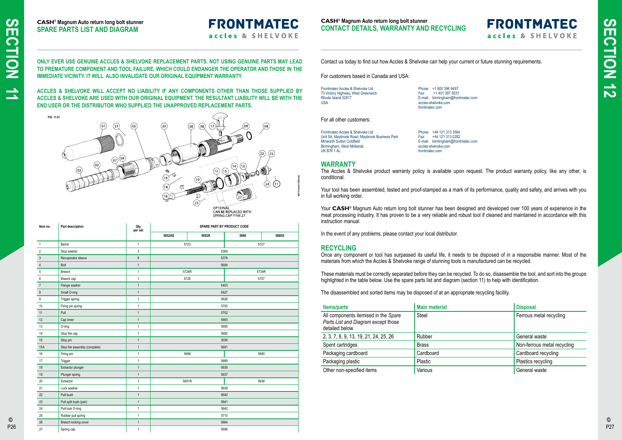

#### **CASH**® **Magnum Auto return long bolt stunner CONTACT DETAILS, WARRANTY AND RECYCLING**

# **FRONTMATEC** accles & SHELVOKE

**CASH**® **Magnum Auto return long bolt stunner SPARE PARTS LIST AND DIAGRAM**

# **FRONTMATEC**

accles & SHELVOKE

Contact us today to find out how Accles & Shelvoke can help your current or future stunning requirements.

For customers based in Canada and USA:

Frontmatec Accles & Shelvoke Ltd 73 Victory Highway, West Greenwich Rhode Island 02817 USA

Phone: +1 800 396 9497 Fax: +1 401 397 5031 E-mail: birmingham@frontmatec.com accles-shelvoke.com frontmatec.com

#### For all other customers:

Your tool has been assembled, tested and proof-stamped as a mark of its performance, quality and safety, and arrives with you in full working order.

Frontmatec Accles & Shelvoke Ltd Unit 5A, Maybrook Road, Maybrook Business Park Minworth Sutton Coldfield Birmingham, West Midlands UK B76 1 AL

Your **CASH<sup>®</sup>** Magnum Auto return long bolt stunner has been designed and developed over 100 years of experience in the meat processing industry. It has proven to be a very reliable and robust tool if cleaned and maintained in accordance with this instruction manual.

Phone: +44 121 313 3564 Fax: +44 121 313 0282 E-mail: birmingham@frontmatec.com accles-shelvoke.com frontmatec.com

#### **WARRANTY**

The Accles & Shelvoke product warranty policy is available upon request. The product warranty policy, like any other, is conditional.

In the event of any problems, please contact your local distributor.

### **RECYCLING**

Once any component or tool has surpassed its useful life, it needs to be disposed of in a responsible manner. Most of the materials from which the Accles & Shelvoke range of stunning tools is manufactured can be recycled.

These materials must be correctly separated before they can be recycled. To do so, disassemble the tool, and sort into the groups highlighted in the table below. Use the spare parts list and diagram (section 11) to help with identification.

The disassembled and sorted items may be disposed of at an appropriate recycling facility.

| <b>Items/parts</b>                                                                            | <b>Main material</b> | <b>Disposal</b>             |
|-----------------------------------------------------------------------------------------------|----------------------|-----------------------------|
| All components itemised in the Spare<br>Parts List and Diagram except those<br>detailed below | <b>Steel</b>         | Ferrous metal recycling     |
| 2, 3, 7, 8, 9, 13, 19, 21, 24, 25, 26                                                         | Rubber               | General waste               |
| Spent cartridges                                                                              | <b>Brass</b>         | Non-ferrous metal recycling |
| Packaging cardboard                                                                           | Cardboard            | Cardboard recycling         |
| Packaging plastic                                                                             | Plastic              | Plastics recycling          |
| Other non-specified items                                                                     | Various              | General waste               |

**ONLY EVER USE GENUINE ACCLES & SHELVOKE REPLACEMENT PARTS. NOT USING GENUINE PARTS MAY LEAD TO PREMATURE COMPONENT AND TOOL FAILURE, WHICH COULD ENDANGER THE OPERATOR AND THOSE IN THE IMMEDIATE VICINITY. IT WILL ALSO INVALIDATE OUR ORIGINAL EQUIPMENT WARRANTY.**

**ACCLES & SHELVOKE WILL ACCEPT NO LIABILITY IF ANY COMPONENTS OTHER THAN THOSE SUPPLIED BY ACCLES & SHELVOKE ARE USED WITH OUR ORIGINAL EQUIPMENT. THE RESULTANT LIABILITY WILL BE WITH THE END USER OR THE DISTRIBUTOR WHO SUPPLIED THE UNAPPROVED REPLACEMENT PARTS.**

**SPARE PART BY PRODUCT CODE**

| Item no.       | Part description              | Qty<br>per set | SPARE PART BY PRODUCT CODE |                |      |       |
|----------------|-------------------------------|----------------|----------------------------|----------------|------|-------|
|                |                               |                | 5652AS                     | 5652R          | 5660 | 5660S |
| $\mathbf{1}$   | Barrel                        | $\mathbf{1}$   | 5723<br>5727               |                |      |       |
| $\overline{2}$ | Stop washer                   | 3              |                            | 5369           |      |       |
| $\mathfrak{Z}$ | Recuperator sleeve            | 8              |                            | 5376           |      |       |
| $\overline{4}$ | Bolt                          | $\mathbf{1}$   |                            | 5684           |      |       |
| 5              | Breech                        | $\mathbf{1}$   |                            | 5724R<br>5734R |      |       |
| 6              | Breech cap                    | $\mathbf{1}$   |                            | 5725           |      | 5707  |
| $\overline{7}$ | Flange washer                 | $\mathbf{1}$   | 5403                       |                |      |       |
| $\bf 8$        | Small O-ring                  | $\mathbf{1}$   |                            | 5627           |      |       |
| 9              | Trigger spring                | $\mathbf{1}$   |                            | 5628           |      |       |
| 10             | Firing pin spring             | $\mathbf{1}$   | 5755                       |                |      |       |
| 11             | Pull                          | $\mathbf{1}$   |                            | 5702           |      |       |
| 12             | Cap inner                     | $\mathbf{1}$   | 5693                       |                |      |       |
| 13             | O-ring                        | $\mathbf{1}$   | 5695                       |                |      |       |
| 14             | Stop fire cap                 | $\mathbf{1}$   | 5692                       |                |      |       |
| 15             | Stop pin                      | $\mathbf{1}$   | 3036                       |                |      |       |
| <b>15A</b>     | Stop fire assembly (complete) | $\mathbf{1}$   | 5691                       |                |      |       |
| 16             | Firing pin                    | $\mathbf{1}$   | 5698<br>5690               |                |      |       |
| 17             | Trigger                       | $\mathbf{1}$   |                            | 5689           |      |       |
| 18             | Extractor plunger             | $\mathbf{1}$   | 5636                       |                |      |       |
| 19             | Plunger spring                | $\mathbf{1}$   | 5637                       |                |      |       |
| 20             | Extractor                     | $\mathbf{1}$   | 5651R                      |                |      | 5638  |
| 21             | Lock washer                   | $\mathbf{1}$   |                            | 5639           |      |       |
| 22             | Pull bush                     | $\mathbf{1}$   | 5640                       |                |      |       |
| 23             | Pull split bush (pair)        | $\mathbf{1}$   | 5641                       |                |      |       |
| 24             | Pull lock O-ring              | $\mathbf{1}$   | 5642                       |                |      |       |
| 25             | Rubber pull spring            | $\mathbf{1}$   | 5710                       |                |      |       |
| 26             | Breech locking cover          | $\mathbf{1}$   |                            | 5664           |      |       |
| 27             | Spring cap                    | $\mathbf{1}$   | 5696                       |                |      |       |